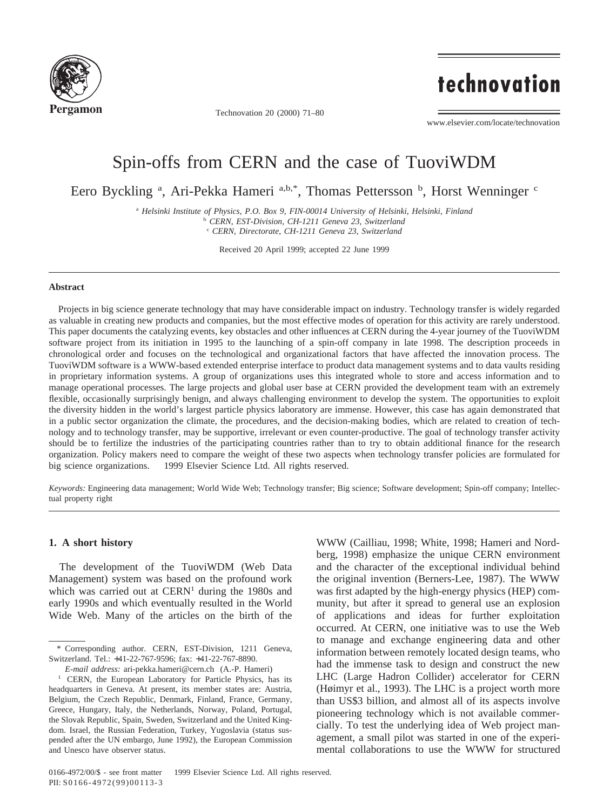

Technovation 20 (2000) 71–80

# technovation

www.elsevier.com/locate/technovation

### Spin-offs from CERN and the case of TuoviWDM

Eero Byckling <sup>a</sup>, Ari-Pekka Hameri a,b,\*, Thomas Pettersson <sup>b</sup>, Horst Wenninger c

<sup>a</sup> *Helsinki Institute of Physics, P.O. Box 9, FIN-00014 University of Helsinki, Helsinki, Finland* <sup>b</sup> *CERN, EST-Division, CH-1211 Geneva 23, Switzerland*

<sup>c</sup> *CERN, Directorate, CH-1211 Geneva 23, Switzerland*

Received 20 April 1999; accepted 22 June 1999

#### **Abstract**

Projects in big science generate technology that may have considerable impact on industry. Technology transfer is widely regarded as valuable in creating new products and companies, but the most effective modes of operation for this activity are rarely understood. This paper documents the catalyzing events, key obstacles and other influences at CERN during the 4-year journey of the TuoviWDM software project from its initiation in 1995 to the launching of a spin-off company in late 1998. The description proceeds in chronological order and focuses on the technological and organizational factors that have affected the innovation process. The TuoviWDM software is a WWW-based extended enterprise interface to product data management systems and to data vaults residing in proprietary information systems. A group of organizations uses this integrated whole to store and access information and to manage operational processes. The large projects and global user base at CERN provided the development team with an extremely flexible, occasionally surprisingly benign, and always challenging environment to develop the system. The opportunities to exploit the diversity hidden in the world's largest particle physics laboratory are immense. However, this case has again demonstrated that in a public sector organization the climate, the procedures, and the decision-making bodies, which are related to creation of technology and to technology transfer, may be supportive, irrelevant or even counter-productive. The goal of technology transfer activity should be to fertilize the industries of the participating countries rather than to try to obtain additional finance for the research organization. Policy makers need to compare the weight of these two aspects when technology transfer policies are formulated for big science organizations. © 1999 Elsevier Science Ltd. All rights reserved.

*Keywords:* Engineering data management; World Wide Web; Technology transfer; Big science; Software development; Spin-off company; Intellectual property right

#### **1. A short history**

The development of the TuoviWDM (Web Data Management) system was based on the profound work which was carried out at  $CERN<sup>1</sup>$  during the 1980s and early 1990s and which eventually resulted in the World Wide Web. Many of the articles on the birth of the

*E-mail address:* ari-pekka.hameri@cern.ch (A.-P. Hameri)

WWW (Cailliau, 1998; White, 1998; Hameri and Nordberg, 1998) emphasize the unique CERN environment and the character of the exceptional individual behind the original invention (Berners-Lee, 1987). The WWW was first adapted by the high-energy physics (HEP) community, but after it spread to general use an explosion of applications and ideas for further exploitation occurred. At CERN, one initiative was to use the Web to manage and exchange engineering data and other information between remotely located design teams, who had the immense task to design and construct the new LHC (Large Hadron Collider) accelerator for CERN (Høimyr et al., 1993). The LHC is a project worth more than US\$3 billion, and almost all of its aspects involve pioneering technology which is not available commercially. To test the underlying idea of Web project management, a small pilot was started in one of the experimental collaborations to use the WWW for structured

<sup>\*</sup> Corresponding author. CERN, EST-Division, 1211 Geneva, Switzerland. Tel.: +41-22-767-9596; fax: +41-22-767-8890.

<sup>&</sup>lt;sup>1</sup> CERN, the European Laboratory for Particle Physics, has its headquarters in Geneva. At present, its member states are: Austria, Belgium, the Czech Republic, Denmark, Finland, France, Germany, Greece, Hungary, Italy, the Netherlands, Norway, Poland, Portugal, the Slovak Republic, Spain, Sweden, Switzerland and the United Kingdom. Israel, the Russian Federation, Turkey, Yugoslavia (status suspended after the UN embargo, June 1992), the European Commission and Unesco have observer status.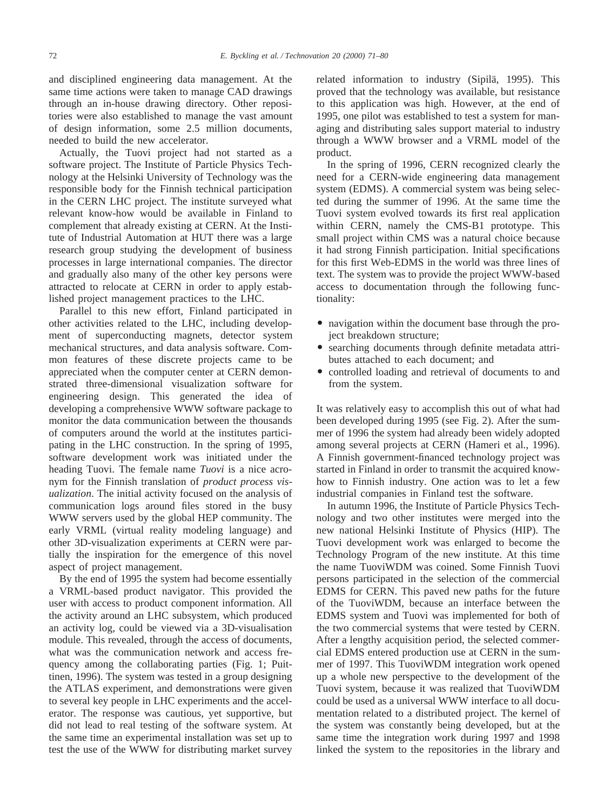and disciplined engineering data management. At the same time actions were taken to manage CAD drawings through an in-house drawing directory. Other repositories were also established to manage the vast amount of design information, some 2.5 million documents, needed to build the new accelerator.

Actually, the Tuovi project had not started as a software project. The Institute of Particle Physics Technology at the Helsinki University of Technology was the responsible body for the Finnish technical participation in the CERN LHC project. The institute surveyed what relevant know-how would be available in Finland to complement that already existing at CERN. At the Institute of Industrial Automation at HUT there was a large research group studying the development of business processes in large international companies. The director and gradually also many of the other key persons were attracted to relocate at CERN in order to apply established project management practices to the LHC.

Parallel to this new effort, Finland participated in other activities related to the LHC, including development of superconducting magnets, detector system mechanical structures, and data analysis software. Common features of these discrete projects came to be appreciated when the computer center at CERN demonstrated three-dimensional visualization software for engineering design. This generated the idea of developing a comprehensive WWW software package to monitor the data communication between the thousands of computers around the world at the institutes participating in the LHC construction. In the spring of 1995, software development work was initiated under the heading Tuovi. The female name *Tuovi* is a nice acronym for the Finnish translation of *product process visualization*. The initial activity focused on the analysis of communication logs around files stored in the busy WWW servers used by the global HEP community. The early VRML (virtual reality modeling language) and other 3D-visualization experiments at CERN were partially the inspiration for the emergence of this novel aspect of project management.

By the end of 1995 the system had become essentially a VRML-based product navigator. This provided the user with access to product component information. All the activity around an LHC subsystem, which produced an activity log, could be viewed via a 3D-visualisation module. This revealed, through the access of documents, what was the communication network and access frequency among the collaborating parties (Fig. 1; Puittinen, 1996). The system was tested in a group designing the ATLAS experiment, and demonstrations were given to several key people in LHC experiments and the accelerator. The response was cautious, yet supportive, but did not lead to real testing of the software system. At the same time an experimental installation was set up to test the use of the WWW for distributing market survey related information to industry (Sipilä, 1995). This proved that the technology was available, but resistance to this application was high. However, at the end of 1995, one pilot was established to test a system for managing and distributing sales support material to industry through a WWW browser and a VRML model of the product.

In the spring of 1996, CERN recognized clearly the need for a CERN-wide engineering data management system (EDMS). A commercial system was being selected during the summer of 1996. At the same time the Tuovi system evolved towards its first real application within CERN, namely the CMS-B1 prototype. This small project within CMS was a natural choice because it had strong Finnish participation. Initial specifications for this first Web-EDMS in the world was three lines of text. The system was to provide the project WWW-based access to documentation through the following functionality:

- navigation within the document base through the project breakdown structure;
- searching documents through definite metadata attributes attached to each document; and
- controlled loading and retrieval of documents to and from the system.

It was relatively easy to accomplish this out of what had been developed during 1995 (see Fig. 2). After the summer of 1996 the system had already been widely adopted among several projects at CERN (Hameri et al., 1996). A Finnish government-financed technology project was started in Finland in order to transmit the acquired knowhow to Finnish industry. One action was to let a few industrial companies in Finland test the software.

In autumn 1996, the Institute of Particle Physics Technology and two other institutes were merged into the new national Helsinki Institute of Physics (HIP). The Tuovi development work was enlarged to become the Technology Program of the new institute. At this time the name TuoviWDM was coined. Some Finnish Tuovi persons participated in the selection of the commercial EDMS for CERN. This paved new paths for the future of the TuoviWDM, because an interface between the EDMS system and Tuovi was implemented for both of the two commercial systems that were tested by CERN. After a lengthy acquisition period, the selected commercial EDMS entered production use at CERN in the summer of 1997. This TuoviWDM integration work opened up a whole new perspective to the development of the Tuovi system, because it was realized that TuoviWDM could be used as a universal WWW interface to all documentation related to a distributed project. The kernel of the system was constantly being developed, but at the same time the integration work during 1997 and 1998 linked the system to the repositories in the library and